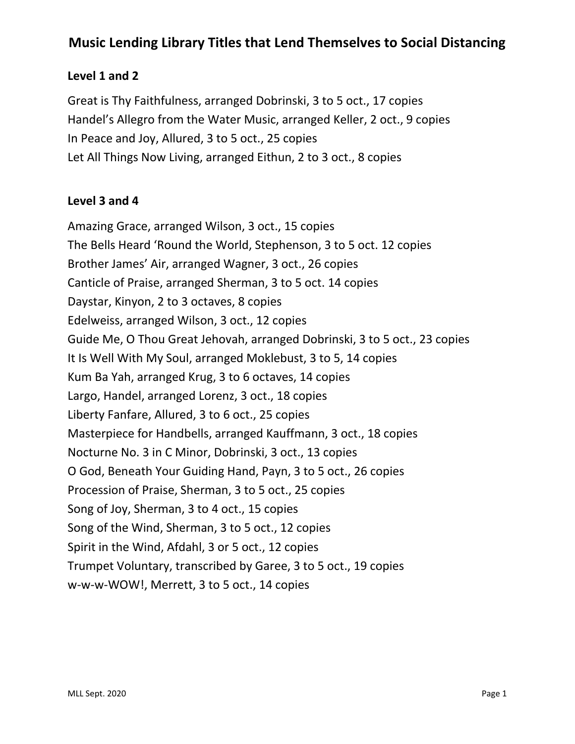## **Music Lending Library Titles that Lend Themselves to Social Distancing**

#### **Level 1 and 2**

Great is Thy Faithfulness, arranged Dobrinski, 3 to 5 oct., 17 copies Handel's Allegro from the Water Music, arranged Keller, 2 oct., 9 copies In Peace and Joy, Allured, 3 to 5 oct., 25 copies Let All Things Now Living, arranged Eithun, 2 to 3 oct., 8 copies

#### **Level 3 and 4**

Amazing Grace, arranged Wilson, 3 oct., 15 copies The Bells Heard 'Round the World, Stephenson, 3 to 5 oct. 12 copies Brother James' Air, arranged Wagner, 3 oct., 26 copies Canticle of Praise, arranged Sherman, 3 to 5 oct. 14 copies Daystar, Kinyon, 2 to 3 octaves, 8 copies Edelweiss, arranged Wilson, 3 oct., 12 copies Guide Me, O Thou Great Jehovah, arranged Dobrinski, 3 to 5 oct., 23 copies It Is Well With My Soul, arranged Moklebust, 3 to 5, 14 copies Kum Ba Yah, arranged Krug, 3 to 6 octaves, 14 copies Largo, Handel, arranged Lorenz, 3 oct., 18 copies Liberty Fanfare, Allured, 3 to 6 oct., 25 copies Masterpiece for Handbells, arranged Kauffmann, 3 oct., 18 copies Nocturne No. 3 in C Minor, Dobrinski, 3 oct., 13 copies O God, Beneath Your Guiding Hand, Payn, 3 to 5 oct., 26 copies Procession of Praise, Sherman, 3 to 5 oct., 25 copies Song of Joy, Sherman, 3 to 4 oct., 15 copies Song of the Wind, Sherman, 3 to 5 oct., 12 copies Spirit in the Wind, Afdahl, 3 or 5 oct., 12 copies Trumpet Voluntary, transcribed by Garee, 3 to 5 oct., 19 copies w-w-w-WOW!, Merrett, 3 to 5 oct., 14 copies